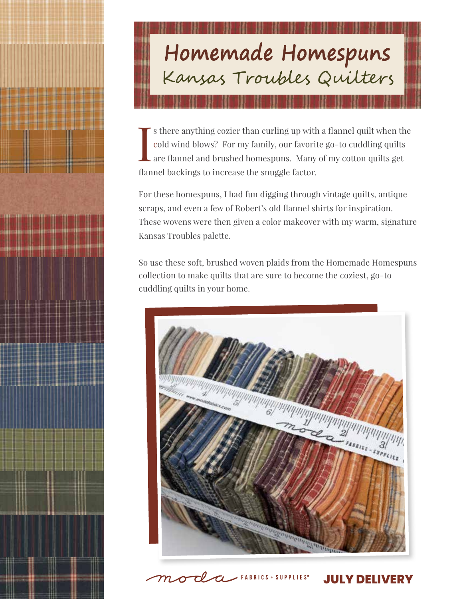## Homemade Homespuns<br>Kansas Troubles Quilters

I s there anything cozier than curling up with a flannel quilt when the cold wind blows? For my family, our favorite go-to cuddling quilts are flannel and brushed homespuns. Many of my cotton quilts get flannel backings to increase the snuggle factor.

For these homespuns, I had fun digging through vintage quilts, antique scraps, and even a few of Robert's old flannel shirts for inspiration. These wovens were then given a color makeover with my warm, signature Kansas Troubles palette.

So use these soft, brushed woven plaids from the Homemade Homespuns collection to make quilts that are sure to become the coziest, go-to cuddling quilts in your home.



 $\angle$  FABRICS + SUPPLIES<sup>®</sup>

 $\tau$ l

**JULY DELIVERY**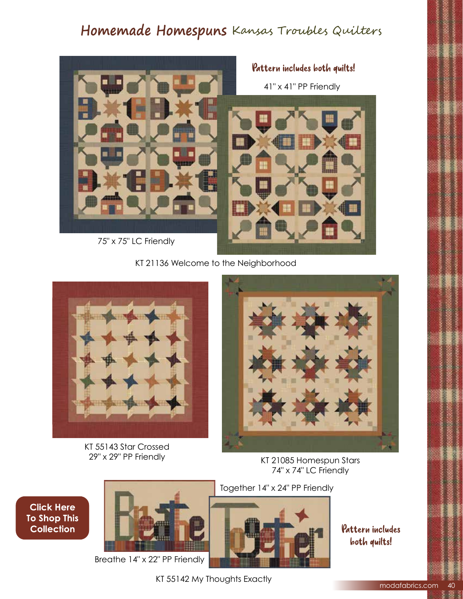## Homemade Homespuns Kansas Troubles Quilters



KT 21136 Welcome to the Neighborhood



KT 55143 Star Crossed 29" x 29" PP Friendly



KT 21085 Homespun Stars 74" x 74" LC Friendly

**Click Here To Shop This Collection** 



Breathe 14" x 22" PP Friendly



Pattern includes both quilts!

KT 55142 My Thoughts Exactly

modafabrics.com 40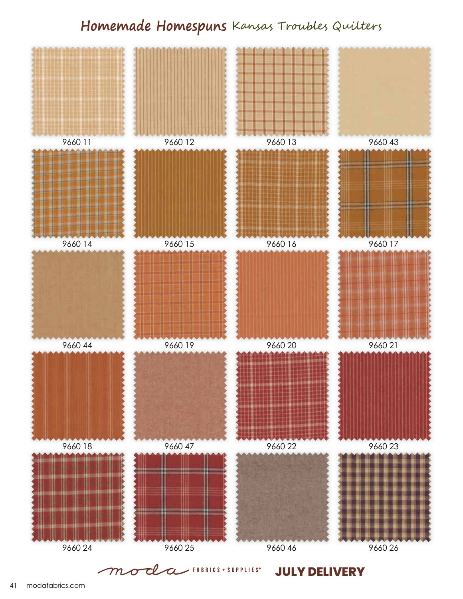## Homemade Homespuns Kansas Troubles Quilters